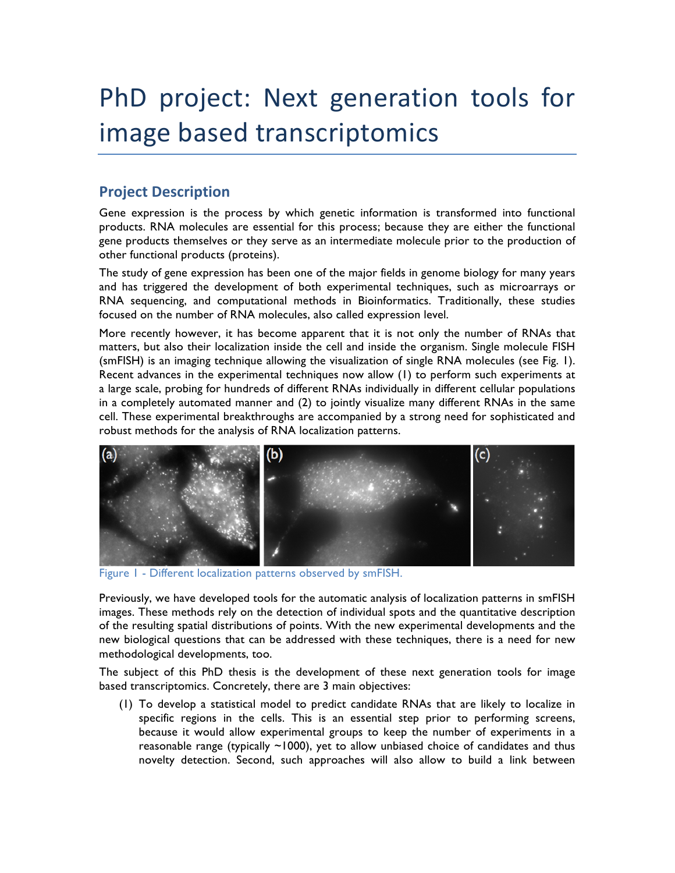# PhD project: Next generation tools for image based transcriptomics

## **Project Description**

Gene expression is the process by which genetic information is transformed into functional products. RNA molecules are essential for this process; because they are either the functional gene products themselves or they serve as an intermediate molecule prior to the production of other functional products (proteins).

The study of gene expression has been one of the major fields in genome biology for many years and has triggered the development of both experimental techniques, such as microarrays or RNA sequencing, and computational methods in Bioinformatics. Traditionally, these studies focused on the number of RNA molecules, also called expression level.

More recently however, it has become apparent that it is not only the number of RNAs that matters, but also their localization inside the cell and inside the organism. Single molecule FISH (smFISH) is an imaging technique allowing the visualization of single RNA molecules (see Fig. 1). Recent advances in the experimental techniques now allow (1) to perform such experiments at a large scale, probing for hundreds of different RNAs individually in different cellular populations in a completely automated manner and (2) to jointly visualize many different RNAs in the same cell. These experimental breakthroughs are accompanied by a strong need for sophisticated and robust methods for the analysis of RNA localization patterns.



Figure 1 - Different localization patterns observed by smFISH.

Previously, we have developed tools for the automatic analysis of localization patterns in smFISH images. These methods rely on the detection of individual spots and the quantitative description of the resulting spatial distributions of points. With the new experimental developments and the new biological questions that can be addressed with these techniques, there is a need for new methodological developments, too.

The subject of this PhD thesis is the development of these next generation tools for image based transcriptomics. Concretely, there are 3 main objectives:

(1) To develop a statistical model to predict candidate RNAs that are likely to localize in specific regions in the cells. This is an essential step prior to performing screens, because it would allow experimental groups to keep the number of experiments in a reasonable range (typically ~1000), yet to allow unbiased choice of candidates and thus novelty detection. Second, such approaches will also allow to build a link between